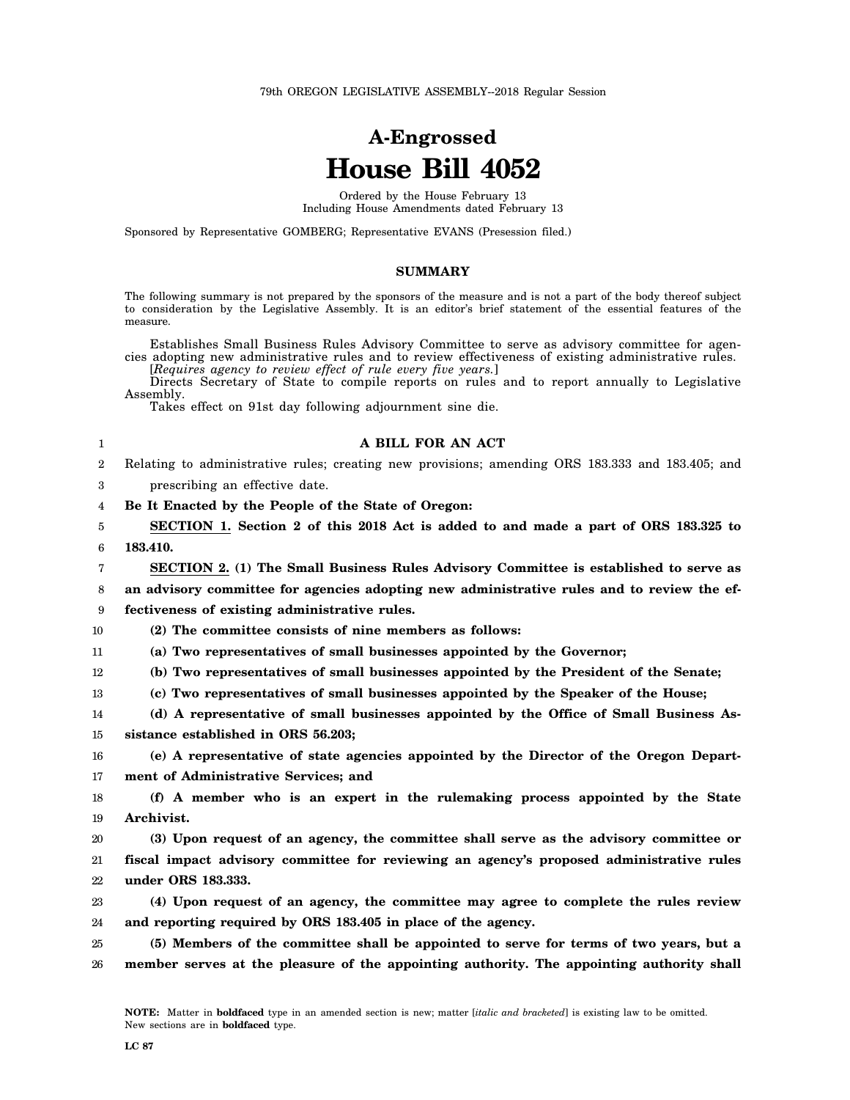# **A-Engrossed House Bill 4052**

Ordered by the House February 13 Including House Amendments dated February 13

Sponsored by Representative GOMBERG; Representative EVANS (Presession filed.)

#### **SUMMARY**

The following summary is not prepared by the sponsors of the measure and is not a part of the body thereof subject to consideration by the Legislative Assembly. It is an editor's brief statement of the essential features of the measure.

Establishes Small Business Rules Advisory Committee to serve as advisory committee for agencies adopting new administrative rules and to review effectiveness of existing administrative rules. [*Requires agency to review effect of rule every five years.*]

Directs Secretary of State to compile reports on rules and to report annually to Legislative Assembly.

Takes effect on 91st day following adjournment sine die.

| A BILL FOR AN ACT                                                                                  |
|----------------------------------------------------------------------------------------------------|
| 2 Relating to administrative rules; creating new provisions; amending ORS 183.333 and 183.405; and |
|                                                                                                    |

3 prescribing an effective date.

4 **Be It Enacted by the People of the State of Oregon:**

5 6 **SECTION 1. Section 2 of this 2018 Act is added to and made a part of ORS 183.325 to 183.410.**

7 **SECTION 2. (1) The Small Business Rules Advisory Committee is established to serve as**

8 **an advisory committee for agencies adopting new administrative rules and to review the ef-**

9 **fectiveness of existing administrative rules.**

10 **(2) The committee consists of nine members as follows:**

11 **(a) Two representatives of small businesses appointed by the Governor;**

12 **(b) Two representatives of small businesses appointed by the President of the Senate;**

13 **(c) Two representatives of small businesses appointed by the Speaker of the House;**

14 **(d) A representative of small businesses appointed by the Office of Small Business As-**

15 **sistance established in ORS 56.203;**

16 17 **(e) A representative of state agencies appointed by the Director of the Oregon Department of Administrative Services; and**

18 19 **(f) A member who is an expert in the rulemaking process appointed by the State Archivist.**

20 21 22 **(3) Upon request of an agency, the committee shall serve as the advisory committee or fiscal impact advisory committee for reviewing an agency's proposed administrative rules under ORS 183.333.**

23 24 **(4) Upon request of an agency, the committee may agree to complete the rules review and reporting required by ORS 183.405 in place of the agency.**

25 26 **(5) Members of the committee shall be appointed to serve for terms of two years, but a member serves at the pleasure of the appointing authority. The appointing authority shall**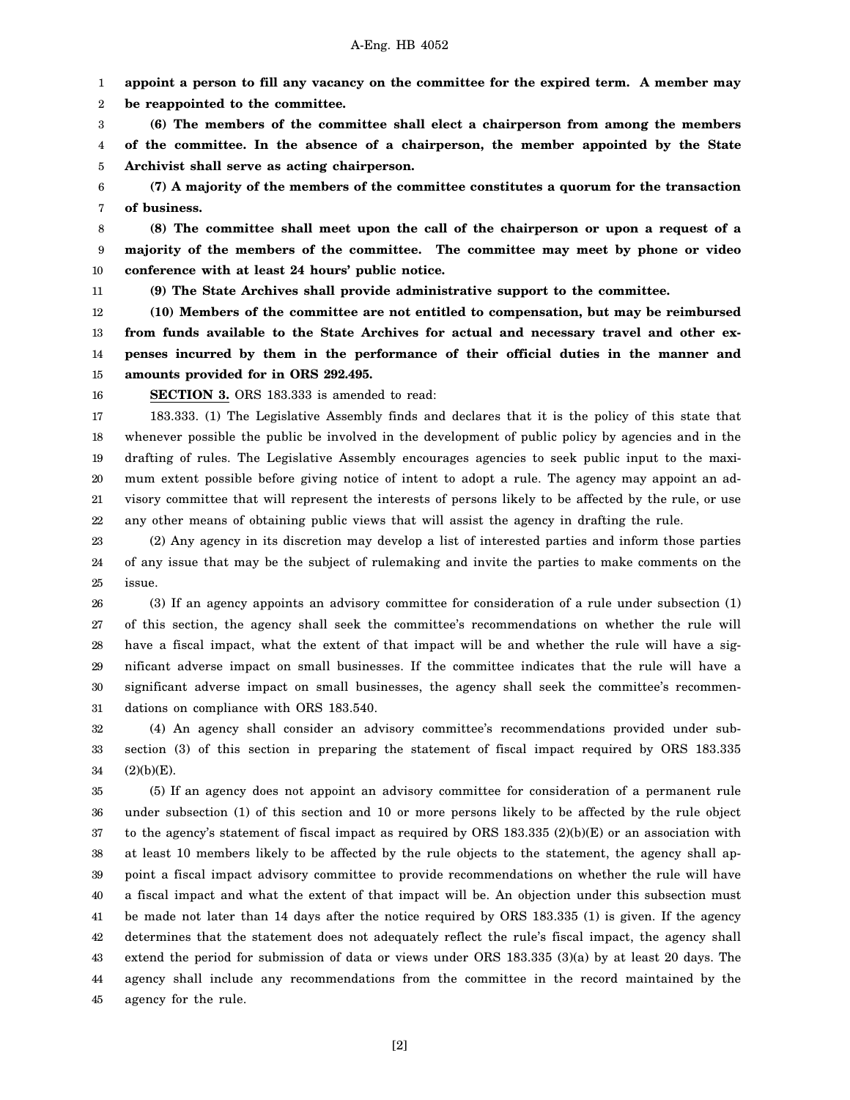#### A-Eng. HB 4052

1 **appoint a person to fill any vacancy on the committee for the expired term. A member may**

2 **be reappointed to the committee.**

3 4 5 **(6) The members of the committee shall elect a chairperson from among the members of the committee. In the absence of a chairperson, the member appointed by the State Archivist shall serve as acting chairperson.**

6 7 **(7) A majority of the members of the committee constitutes a quorum for the transaction of business.**

8 9 10 **(8) The committee shall meet upon the call of the chairperson or upon a request of a majority of the members of the committee. The committee may meet by phone or video conference with at least 24 hours' public notice.**

11

**(9) The State Archives shall provide administrative support to the committee.**

12 13 14 15 **(10) Members of the committee are not entitled to compensation, but may be reimbursed from funds available to the State Archives for actual and necessary travel and other expenses incurred by them in the performance of their official duties in the manner and amounts provided for in ORS 292.495.**

16

**SECTION 3.** ORS 183.333 is amended to read:

17 18 19 20 21 22 183.333. (1) The Legislative Assembly finds and declares that it is the policy of this state that whenever possible the public be involved in the development of public policy by agencies and in the drafting of rules. The Legislative Assembly encourages agencies to seek public input to the maximum extent possible before giving notice of intent to adopt a rule. The agency may appoint an advisory committee that will represent the interests of persons likely to be affected by the rule, or use any other means of obtaining public views that will assist the agency in drafting the rule.

23 24 25 (2) Any agency in its discretion may develop a list of interested parties and inform those parties of any issue that may be the subject of rulemaking and invite the parties to make comments on the issue.

26 27 28 29 30 31 (3) If an agency appoints an advisory committee for consideration of a rule under subsection (1) of this section, the agency shall seek the committee's recommendations on whether the rule will have a fiscal impact, what the extent of that impact will be and whether the rule will have a significant adverse impact on small businesses. If the committee indicates that the rule will have a significant adverse impact on small businesses, the agency shall seek the committee's recommendations on compliance with ORS 183.540.

32 33 34 (4) An agency shall consider an advisory committee's recommendations provided under subsection (3) of this section in preparing the statement of fiscal impact required by ORS 183.335  $(2)(b)(E).$ 

35 36 37 38 39 40 41 42 43 44 45 (5) If an agency does not appoint an advisory committee for consideration of a permanent rule under subsection (1) of this section and 10 or more persons likely to be affected by the rule object to the agency's statement of fiscal impact as required by ORS 183.335 (2)(b)(E) or an association with at least 10 members likely to be affected by the rule objects to the statement, the agency shall appoint a fiscal impact advisory committee to provide recommendations on whether the rule will have a fiscal impact and what the extent of that impact will be. An objection under this subsection must be made not later than 14 days after the notice required by ORS 183.335 (1) is given. If the agency determines that the statement does not adequately reflect the rule's fiscal impact, the agency shall extend the period for submission of data or views under ORS 183.335 (3)(a) by at least 20 days. The agency shall include any recommendations from the committee in the record maintained by the agency for the rule.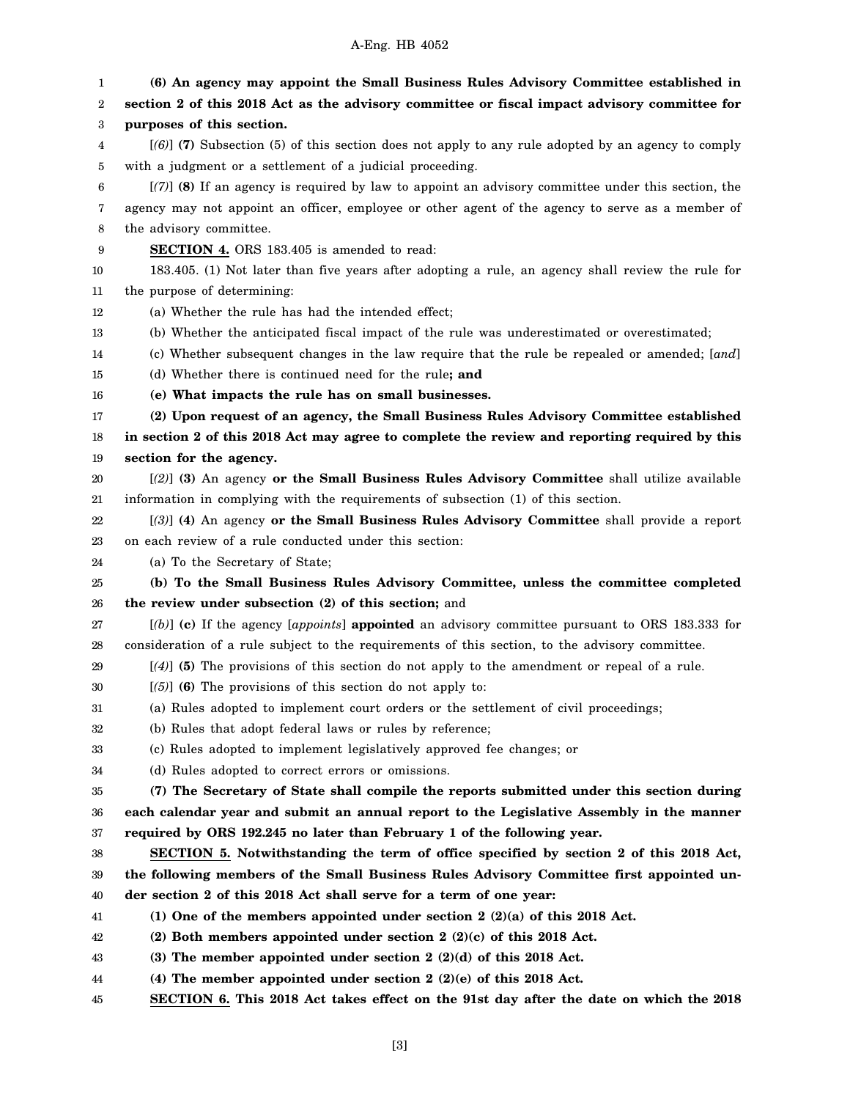### A-Eng. HB 4052

1 2 3 4 5 6 7 8 9 10 11 12 13 14 15 16 17 18 19 20 21 22 23 24 25 26 27 28 29 30 31 32 33 34 35 36 37 38 39 40 41 42 43 44 **(6) An agency may appoint the Small Business Rules Advisory Committee established in section 2 of this 2018 Act as the advisory committee or fiscal impact advisory committee for purposes of this section.** [*(6)*] **(7)** Subsection (5) of this section does not apply to any rule adopted by an agency to comply with a judgment or a settlement of a judicial proceeding. [*(7)*] **(8)** If an agency is required by law to appoint an advisory committee under this section, the agency may not appoint an officer, employee or other agent of the agency to serve as a member of the advisory committee. **SECTION 4.** ORS 183.405 is amended to read: 183.405. (1) Not later than five years after adopting a rule, an agency shall review the rule for the purpose of determining: (a) Whether the rule has had the intended effect; (b) Whether the anticipated fiscal impact of the rule was underestimated or overestimated; (c) Whether subsequent changes in the law require that the rule be repealed or amended; [*and*] (d) Whether there is continued need for the rule**; and (e) What impacts the rule has on small businesses. (2) Upon request of an agency, the Small Business Rules Advisory Committee established in section 2 of this 2018 Act may agree to complete the review and reporting required by this section for the agency.** [*(2)*] **(3)** An agency **or the Small Business Rules Advisory Committee** shall utilize available information in complying with the requirements of subsection (1) of this section. [*(3)*] **(4)** An agency **or the Small Business Rules Advisory Committee** shall provide a report on each review of a rule conducted under this section: (a) To the Secretary of State; **(b) To the Small Business Rules Advisory Committee, unless the committee completed the review under subsection (2) of this section;** and [*(b)*] **(c)** If the agency [*appoints*] **appointed** an advisory committee pursuant to ORS 183.333 for consideration of a rule subject to the requirements of this section, to the advisory committee. [*(4)*] **(5)** The provisions of this section do not apply to the amendment or repeal of a rule. [*(5)*] **(6)** The provisions of this section do not apply to: (a) Rules adopted to implement court orders or the settlement of civil proceedings; (b) Rules that adopt federal laws or rules by reference; (c) Rules adopted to implement legislatively approved fee changes; or (d) Rules adopted to correct errors or omissions. **(7) The Secretary of State shall compile the reports submitted under this section during each calendar year and submit an annual report to the Legislative Assembly in the manner required by ORS 192.245 no later than February 1 of the following year. SECTION 5. Notwithstanding the term of office specified by section 2 of this 2018 Act, the following members of the Small Business Rules Advisory Committee first appointed under section 2 of this 2018 Act shall serve for a term of one year: (1) One of the members appointed under section 2 (2)(a) of this 2018 Act. (2) Both members appointed under section 2 (2)(c) of this 2018 Act. (3) The member appointed under section 2 (2)(d) of this 2018 Act. (4) The member appointed under section 2 (2)(e) of this 2018 Act.**

45 **SECTION 6. This 2018 Act takes effect on the 91st day after the date on which the 2018**